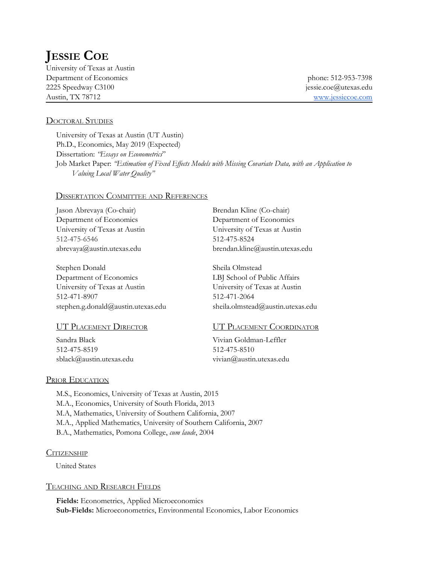# **JESSIE COE**

University of Texas at Austin Department of Economics phone: 512-953-7398 2225 Speedway C3100 jessie.coe@utexas.edu Austin, TX 78712 [www.jessiecoe.com](http://www.jessiecoe.com/)

#### DOCTORAL STUDIES

University of Texas at Austin (UT Austin) Ph.D., Economics, May 2019 (Expected) Dissertation: *"Essays on Econometrics*" Job Market Paper: *"Estimation of Fixed Ef ects Models with Missing Covariate Data, with an Application to Valuing Local Water Quality"*

#### DISSERTATION COMMITTEE AND REFERENCES

Jason Abrevaya (Co-chair) Brendan Kline (Co-chair) Department of Economics Department of Economics 512-475-6546 512-475-8524

Stephen Donald Sheila Olmstead Department of Economics LBJ School of Public Affairs University of Texas at Austin University of Texas at Austin 512-471-8907 512-471-2064 stephen.g.donald@austin.utexas.edu sheila.olmstead@austin.utexas.edu

Sandra Black Vivian Goldman-Leffler 512-475-8519 512-475-8510

University of Texas at Austin University of Texas at Austin abrevaya@austin.utexas.edu brendan.kline@austin.utexas.edu

#### UT PLACEMENT DIRECTOR UT PLACEMENT COORDINATOR

sblack@austin.utexas.edu vivian@austin.utexas.edu

#### PRIOR EDUCATION

M.S., Economics, University of Texas at Austin, 2015 M.A., Economics, University of South Florida, 2013 M.A, Mathematics, University of Southern California, 2007 M.A., Applied Mathematics, University of Southern California, 2007 B.A., Mathematics, Pomona College, *cum laude*, 2004

#### **CITIZENSHIP**

United States

#### TEACHING AND RESEARCH FIELDS

**Fields:** Econometrics, Applied Microeconomics **Sub-Fields:** Microeconometrics, Environmental Economics, Labor Economics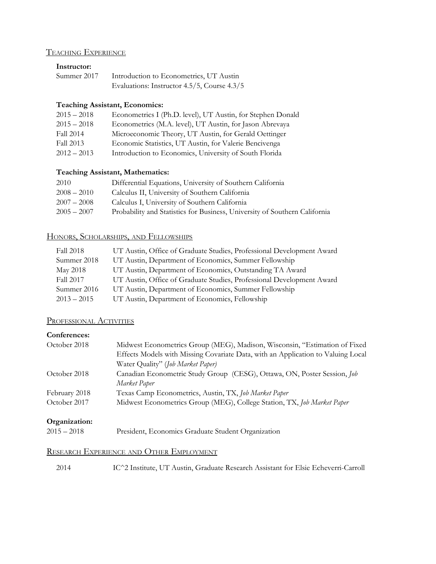# TEACHING EXPERIENCE

# **Instructor:**

| Summer 2017 | Introduction to Econometrics, UT Austin     |
|-------------|---------------------------------------------|
|             | Evaluations: Instructor 4.5/5, Course 4.3/5 |

#### **Teaching Assistant, Economics:**

| $2015 - 2018$ | Econometrics I (Ph.D. level), UT Austin, for Stephen Donald |
|---------------|-------------------------------------------------------------|
| $2015 - 2018$ | Econometrics (M.A. level), UT Austin, for Jason Abrevaya    |
| Fall 2014     | Microeconomic Theory, UT Austin, for Gerald Oettinger       |
| Fall 2013     | Economic Statistics, UT Austin, for Valerie Bencivenga      |
| $2012 - 2013$ | Introduction to Economics, University of South Florida      |

### **Teaching Assistant, Mathematics:**

| 2010          | Differential Equations, University of Southern California                  |
|---------------|----------------------------------------------------------------------------|
| $2008 - 2010$ | Calculus II, University of Southern California                             |
| $2007 - 2008$ | Calculus I, University of Southern California                              |
| $2005 - 2007$ | Probability and Statistics for Business, University of Southern California |
|               |                                                                            |

# HONORS, SCHOLARSHIPS, AND FELLOWSHIPS

| Fall 2018     | UT Austin, Office of Graduate Studies, Professional Development Award |
|---------------|-----------------------------------------------------------------------|
| Summer 2018   | UT Austin, Department of Economics, Summer Fellowship                 |
| May 2018      | UT Austin, Department of Economics, Outstanding TA Award              |
| Fall 2017     | UT Austin, Office of Graduate Studies, Professional Development Award |
| Summer 2016   | UT Austin, Department of Economics, Summer Fellowship                 |
| $2013 - 2015$ | UT Austin, Department of Economics, Fellowship                        |

## PROFESSIONAL ACTIVITIES

#### **Conferences:**

| October 2018  | Midwest Econometrics Group (MEG), Madison, Wisconsin, "Estimation of Fixed       |
|---------------|----------------------------------------------------------------------------------|
|               | Effects Models with Missing Covariate Data, with an Application to Valuing Local |
|               | Water Quality" (Job Market Paper)                                                |
| October 2018  | Canadian Econometric Study Group (CESG), Ottawa, ON, Poster Session, Job         |
|               | Market Paper                                                                     |
| February 2018 | Texas Camp Econometrics, Austin, TX, Job Market Paper                            |
| October 2017  | Midwest Econometrics Group (MEG), College Station, TX, Job Market Paper          |
|               |                                                                                  |

#### **Organization:**

2015 – 2018 President, Economics Graduate Student Organization

#### RESEARCH EXPERIENCE AND OTHER EMPLOYMENT

2014 IC^2 Institute, UT Austin, Graduate Research Assistant for Elsie Echeverri-Carroll